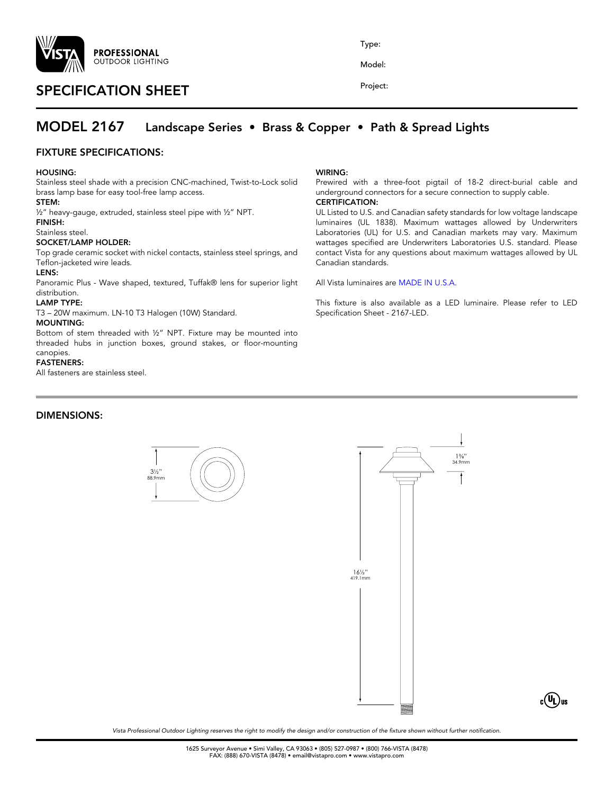

# SPECIFICATION SHEET

Type:

Model:

Project:

## MODEL 2167 Landscape Series • Brass & Copper • Path & Spread Lights

## FIXTURE SPECIFICATIONS:

#### HOUSING:

Stainless steel shade with a precision CNC-machined, Twist-to-Lock solid brass lamp base for easy tool-free lamp access.

#### STEM:

½" heavy-gauge, extruded, stainless steel pipe with ½" NPT.

#### FINISH: Stainless steel.

## SOCKET/LAMP HOLDER:

Top grade ceramic socket with nickel contacts, stainless steel springs, and Teflon-jacketed wire leads.

#### LENS:

Panoramic Plus - Wave shaped, textured, Tuffak® lens for superior light distribution.

#### LAMP TYPE:

T3 – 20W maximum. LN-10 T3 Halogen (10W) Standard.

#### MOUNTING:

Bottom of stem threaded with ½" NPT. Fixture may be mounted into threaded hubs in junction boxes, ground stakes, or floor-mounting canopies.

#### FASTENERS:

All fasteners are stainless steel.

## DIMENSIONS:

#### WIRING:

Prewired with a three-foot pigtail of 18-2 direct-burial cable and underground connectors for a secure connection to supply cable.

## CERTIFICATION:

UL Listed to U.S. and Canadian safety standards for low voltage landscape luminaires (UL 1838). Maximum wattages allowed by Underwriters Laboratories (UL) for U.S. and Canadian markets may vary. Maximum wattages specified are Underwriters Laboratories U.S. standard. Please contact Vista for any questions about maximum wattages allowed by UL Canadian standards.

#### All Vista luminaires are MADE IN U.S.A.

This fixture is also available as a LED luminaire. Please refer to LED Specification Sheet - 2167-LED.





*Vista Professional Outdoor Lighting reserves the right to modify the design and/or construction of the fixture shown without further notification.*